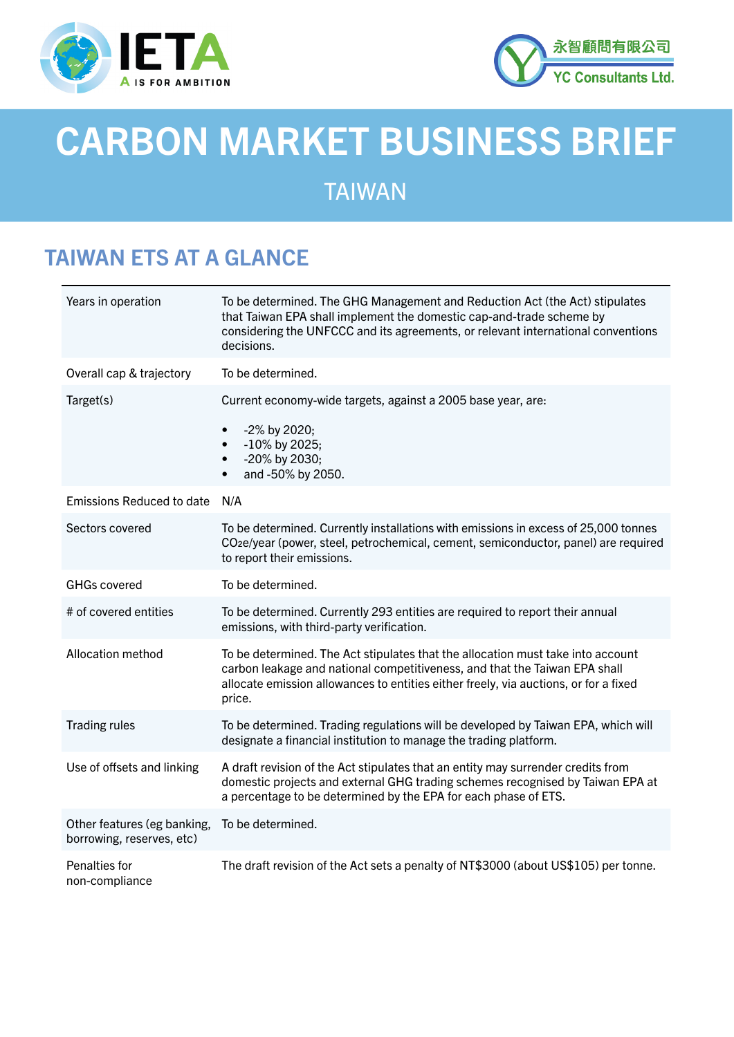



# CARBON MARKET BUSINESS BRIEF

### TAIWAN

## TAIWAN ETS AT A GLANCE

| Years in operation                                       | To be determined. The GHG Management and Reduction Act (the Act) stipulates<br>that Taiwan EPA shall implement the domestic cap-and-trade scheme by<br>considering the UNFCCC and its agreements, or relevant international conventions<br>decisions.           |
|----------------------------------------------------------|-----------------------------------------------------------------------------------------------------------------------------------------------------------------------------------------------------------------------------------------------------------------|
| Overall cap & trajectory                                 | To be determined.                                                                                                                                                                                                                                               |
| Target(s)                                                | Current economy-wide targets, against a 2005 base year, are:<br>-2% by 2020;<br>$\bullet$<br>-10% by 2025;<br>$\bullet$<br>-20% by 2030;<br>$\bullet$<br>and -50% by 2050.                                                                                      |
| <b>Emissions Reduced to date</b>                         | N/A                                                                                                                                                                                                                                                             |
| Sectors covered                                          | To be determined. Currently installations with emissions in excess of 25,000 tonnes<br>CO <sub>2</sub> e/year (power, steel, petrochemical, cement, semiconductor, panel) are required<br>to report their emissions.                                            |
| <b>GHGs covered</b>                                      | To be determined.                                                                                                                                                                                                                                               |
| # of covered entities                                    | To be determined. Currently 293 entities are required to report their annual<br>emissions, with third-party verification.                                                                                                                                       |
| Allocation method                                        | To be determined. The Act stipulates that the allocation must take into account<br>carbon leakage and national competitiveness, and that the Taiwan EPA shall<br>allocate emission allowances to entities either freely, via auctions, or for a fixed<br>price. |
| <b>Trading rules</b>                                     | To be determined. Trading regulations will be developed by Taiwan EPA, which will<br>designate a financial institution to manage the trading platform.                                                                                                          |
| Use of offsets and linking                               | A draft revision of the Act stipulates that an entity may surrender credits from<br>domestic projects and external GHG trading schemes recognised by Taiwan EPA at<br>a percentage to be determined by the EPA for each phase of ETS.                           |
| Other features (eg banking,<br>borrowing, reserves, etc) | To be determined.                                                                                                                                                                                                                                               |
| Penalties for<br>non-compliance                          | The draft revision of the Act sets a penalty of NT\$3000 (about US\$105) per tonne.                                                                                                                                                                             |